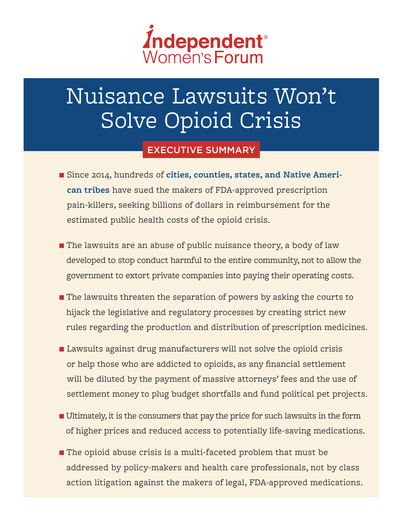

# Nuisance Lawsuits Won't Solve Opioid Crisis

### EXECUTIVE SUMMARY

- Since 2014, hundreds of **[cities, counties, states, and Native Ameri](https://www.politico.com/story/2018/05/24/opioids-epidemic-tobacco-607119)[can tribes](https://www.politico.com/story/2018/05/24/opioids-epidemic-tobacco-607119)** have sued the makers of FDA-approved prescription pain-killers, seeking billions of dollars in reimbursement for the estimated public health costs of the opioid crisis.
- **n** The lawsuits are an abuse of public nuisance theory, a body of law developed to stop conduct harmful to the entire community, not to allow the government to extort private companies into paying their operating costs.
- $\blacksquare$  The lawsuits threaten the separation of powers by asking the courts to hijack the legislative and regulatory processes by creating strict new rules regarding the production and distribution of prescription medicines.
- $\blacksquare$  Lawsuits against drug manufacturers will not solve the opioid crisis or help those who are addicted to opioids, as any financial settlement will be diluted by the payment of massive attorneys' fees and the use of settlement money to plug budget shortfalls and fund political pet projects.
- $\blacksquare$  Ultimately, it is the consumers that pay the price for such lawsuits in the form of higher prices and reduced access to potentially life-saving medications.
- $\blacksquare$  The opioid abuse crisis is a multi-faceted problem that must be addressed by policy-makers and health care professionals, not by class action litigation against the makers of legal, FDA-approved medications.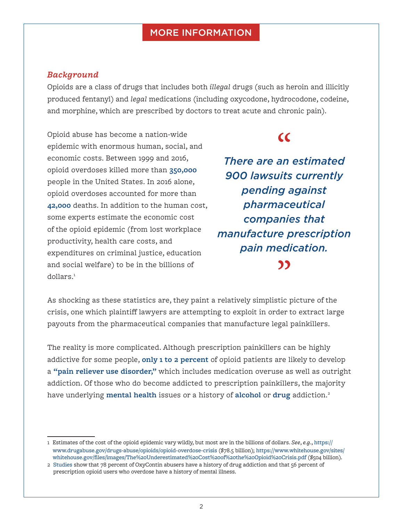#### **MORE INFORMATION**

#### *Background*

Opioids are a class of drugs that includes both *illegal* drugs (such as heroin and illicitly produced fentanyl) and *legal* medications (including oxycodone, hydrocodone, codeine, and morphine, which are prescribed by doctors to treat acute and chronic pain).

Opioid abuse has become a nation-wide epidemic with enormous human, social, and economic costs. Between 1999 and 2016, opioid overdoses killed more than **[350,000](https://www.cdc.gov/drugoverdose/epidemic/index.html)** people in the United States. In 2016 alone, opioid overdoses accounted for more than **[42,000](https://www.cdc.gov/drugoverdose/)** deaths. In addition to the human cost, some experts estimate the economic cost of the opioid epidemic (from lost workplace productivity, health care costs, and expenditures on criminal justice, education and social welfare) to be in the billions of dollars.1

### $\overline{C}$

*There are an estimated 900 lawsuits currently pending against pharmaceutical companies that manufacture prescription pain medication.*

As shocking as these statistics are, they paint a relatively simplistic picture of the crisis, one which plaintiff lawyers are attempting to exploit in order to extract large payouts from the pharmaceutical companies that manufacture legal painkillers.

The reality is more complicated. Although prescription painkillers can be highly addictive for some people, **[only 1 to 2 percent](https://www.samhsa.gov/data/sites/default/files/NSDUH-FFR2-2015/NSDUH-FFR2-2015.htm)** of opioid patients are likely to develop a **["pain reliever use disorder,"](https://www.politico.com/magazine/story/2018/02/21/the-myth-of-the-roots-of-the-opioid-crisis-217034)** which includes medication overuse as well as outright addiction. Of those who do become addicted to prescription painkillers, the majority have underlying **[mental health](https://www.law.com/newyorklawjournal/2018/02/14/litigation-wont-cure-americas-opioid-epidemic/)** issues or a history of **[alcohol](https://www.politico.com/magazine/story/2018/02/21/the-myth-of-the-roots-of-the-opioid-crisis-217034)** or **[drug](https://www.law.com/newyorklawjournal/2018/02/14/litigation-wont-cure-americas-opioid-epidemic/)** addiction.2

<sup>1</sup> Estimates of the cost of the opioid epidemic vary wildly, but most are in the billions of dollars. *See*, *e.g*., [https://](https://www.drugabuse.gov/drugs-abuse/opioids/opioid-overdose-crisis) [www.drugabuse.gov/drugs-abuse/opioids/opioid-overdose-crisis](https://www.drugabuse.gov/drugs-abuse/opioids/opioid-overdose-crisis) (\$78.5 billion); [https://www.whitehouse.gov/sites/](https://www.whitehouse.gov/sites/whitehouse.gov/files/images/The%20Underestimated%20Cost%20of%20the%20Opioid%20Crisis.pdf) [whitehouse.gov/files/images/The%20Underestimated%20Cost%20of%20the%20Opioid%20Crisis.pdf](https://www.whitehouse.gov/sites/whitehouse.gov/files/images/The%20Underestimated%20Cost%20of%20the%20Opioid%20Crisis.pdf) (\$504 billion).

<sup>2</sup> [Studies](https://www.law.com/newyorklawjournal/2018/02/14/litigation-wont-cure-americas-opioid-epidemic/) show that 78 percent of OxyContin abusers have a history of drug addiction and that 56 percent of prescription opioid users who overdose have a history of mental illness.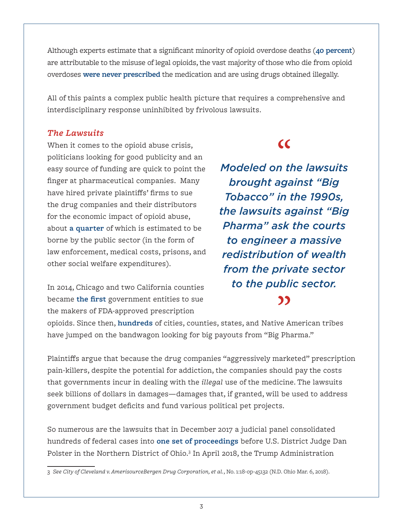Although experts estimate that a significant minority of opioid overdose deaths (**[40 percent](https://www.cdc.gov/drugoverdose/)**) are attributable to the misuse of legal opioids, the vast majority of those who die from opioid overdoses **[were never prescribed](https://www.law.com/newyorklawjournal/2018/02/14/litigation-wont-cure-americas-opioid-epidemic/)** the medication and are using drugs obtained illegally.

All of this paints a complex public health picture that requires a comprehensive and interdisciplinary response uninhibited by frivolous lawsuits.

#### *The Lawsuits*

When it comes to the opioid abuse crisis, politicians looking for good publicity and an easy source of funding are quick to point the finger at pharmaceutical companies. Many have hired private plaintiffs' firms to sue the drug companies and their distributors for the economic impact of opioid abuse, about **[a quarter](https://www.ncbi.nlm.nih.gov/pubmed/27623005)** of which is estimated to be borne by the public sector (in the form of law enforcement, medical costs, prisons, and other social welfare expenditures).

In 2014, Chicago and two California counties became **[the first](https://www.nytimes.com/2014/08/25/us/chicago-and-2-california-counties-sue-drug-companies-over-painkiller-marketing.html)** government entities to sue the makers of FDA-approved prescription

### $\overline{C}$

*Modeled on the lawsuits brought against "Big Tobacco" in the 1990s, the lawsuits against "Big Pharma" ask the courts to engineer a massive redistribution of wealth from the private sector to the public sector.*"

opioids. Since then, **[hundreds](http://www.iwf.org/blog/2806614/Native-American-Tribes,-State-and-Local-Governments-Sue-Pharmaceutical-Companies-Over-Opioid-Abuse-Crisis)** of cities, counties, states, and Native American tribes have jumped on the bandwagon looking for big payouts from "Big Pharma."

Plaintiffs argue that because the drug companies "aggressively marketed" prescription pain-killers, despite the potential for addiction, the companies should pay the costs that governments incur in dealing with the *illegal* use of the medicine. The lawsuits seek billions of dollars in damages—damages that, if granted, will be used to address government budget deficits and fund various political pet projects.

So numerous are the lawsuits that in December 2017 a judicial panel consolidated hundreds of federal cases into **[one set of proceedings](https://www.nytimes.com/2018/03/05/health/opioid-crisis-judge-lawsuits.html)** before U.S. District Judge Dan Polster in the Northern District of Ohio.<sup>3</sup> In April 2018, the Trump Administration

<sup>3</sup> *See City of Cleveland v. AmerisourceBergen Drug Corporation, et al.*, No. 1:18-op-45132 (N.D. Ohio Mar. 6, 2018).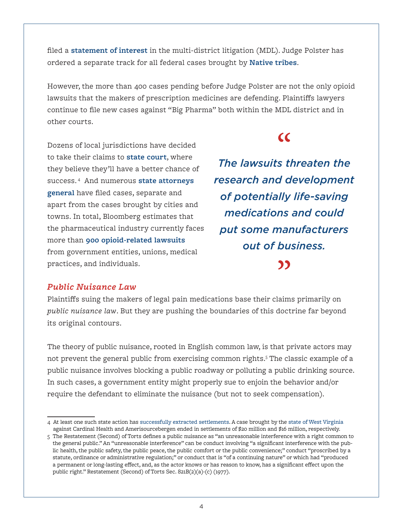filed a **[statement of interest](https://www.justice.gov/opa/pr/department-justice-files-motion-multi-district-opioid-case)** in the multi-district litigation (MDL). Judge Polster has ordered a separate track for all federal cases brought by **[Native tribes](https://www.omaha.com/livewellnebraska/health/federal-judge-allows-nebraska-tribes-to-pursue-opioid-lawsuits-separately/article_2e044fc3-6e50-578a-8507-9012161a4d55.html)**.

However, the more than 400 cases pending before Judge Polster are not the only opioid lawsuits that the makers of prescription medicines are defending. Plaintiffs lawyers continue to file new cases against "Big Pharma" both within the MDL district and in other courts.

 $\overline{\mathcal{C}}$ 

Dozens of local jurisdictions have decided to take their claims to **[state court](https://www.bloomberg.com/graphics/2018-opioid-lawsuits/)**, where they believe they'll have a better chance of success. <sup>4</sup> And numerous **[state attorneys](https://www.policymed.com/2018/06/purdue-pharma-battling-more-states-over-opioid-crisis.html)  [general](https://www.policymed.com/2018/06/purdue-pharma-battling-more-states-over-opioid-crisis.html)** have filed cases, separate and apart from the cases brought by cities and towns. In total, Bloomberg estimates that the pharmaceutical industry currently faces more than **[900 opioid-related lawsuits](https://www.bloomberg.com/graphics/2018-opioid-lawsuits/)** from government entities, unions, medical practices, and individuals.

*The lawsuits threaten the research and development of potentially life-saving medications and could put some manufacturers out of business.*

#### *Public Nuisance Law*

Plaintiffs suing the makers of legal pain medications base their claims primarily on *public nuisance law*. But they are pushing the boundaries of this doctrine far beyond its original contours.

The theory of public nuisance, rooted in English common law, is that private actors may not prevent the general public from exercising common rights.5 The classic example of a public nuisance involves blocking a public roadway or polluting a public drinking source. In such cases, a government entity might properly sue to enjoin the behavior and/or require the defendant to eliminate the nuisance (but not to seek compensation).

<sup>4</sup> At least one such state action has [successfully extracted settlements](https://www.citylab.com/life/2017/10/the-cities-suing-big-pharma-over-opioids/542484/). A case brought by the [state of West Virginia](https://wvrecord.com/stories/511071502-cardinal-health-amerisourcebergen-settle-pain-pill-lawsuit-for-36-million) against Cardinal Health and Amerisourcebergen ended in settlements of \$20 million and \$16 million, respectively.

<sup>5</sup> The Restatement (Second) of Torts defines a public nuisance as "an unreasonable interference with a right common to the general public." An "unreasonable interference" can be conduct involving "a significant interference with the public health, the public safety, the public peace, the public comfort or the public convenience;" conduct "proscribed by a statute, ordinance or administrative regulation;" or conduct that is "of a continuing nature" or which had "produced a permanent or long-lasting effect, and, as the actor knows or has reason to know, has a significant effect upon the public right." Restatement (Second) of Torts Sec. 821B(2)(a)-(c) (1977).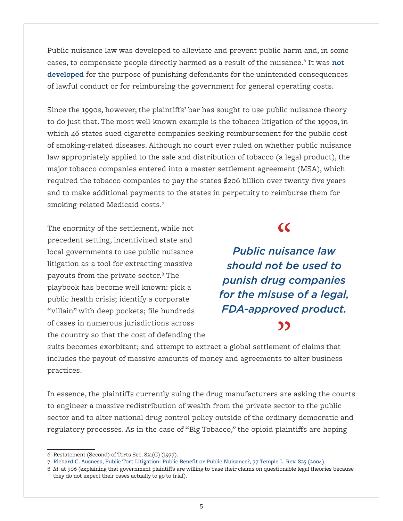Public nuisance law was developed to alleviate and prevent public harm and, in some cases, to compensate people directly harmed as a result of the nuisance.6 It was **[not](https://www.instituteforlegalreform.com/hooks/1/get_ilr_doc.php?fn=schwartz-victor.pdf)  [developed](https://www.instituteforlegalreform.com/hooks/1/get_ilr_doc.php?fn=schwartz-victor.pdf)** for the purpose of punishing defendants for the unintended consequences of lawful conduct or for reimbursing the government for general operating costs.

Since the 1990s, however, the plaintiffs' bar has sought to use public nuisance theory to do just that. The most well-known example is the tobacco litigation of the 1990s, in which 46 states sued cigarette companies seeking reimbursement for the public cost of smoking-related diseases. Although no court ever ruled on whether public nuisance law appropriately applied to the sale and distribution of tobacco (a legal product), the major tobacco companies entered into a master settlement agreement (MSA), which required the tobacco companies to pay the states \$206 billion over twenty-five years and to make additional payments to the states in perpetuity to reimburse them for smoking-related Medicaid costs.7

The enormity of the settlement, while not precedent setting, incentivized state and local governments to use public nuisance litigation as a tool for extracting massive payouts from the private sector.8 The playbook has become well known: pick a public health crisis; identify a corporate "villain" with deep pockets; file hundreds of cases in numerous jurisdictions across the country so that the cost of defending the

### $\overline{\mathcal{C}}$

*Public nuisance law should not be used to punish drug companies for the misuse of a legal, FDA-approved product.*"

suits becomes exorbitant; and attempt to extract a global settlement of claims that includes the payout of massive amounts of money and agreements to alter business practices.

In essence, the plaintiffs currently suing the drug manufacturers are asking the courts to engineer a massive redistribution of wealth from the private sector to the public sector and to alter national drug control policy outside of the ordinary democratic and regulatory processes. As in the case of "Big Tobacco," the opioid plaintiffs are hoping

<sup>6</sup> Restatement (Second) of Torts Sec. 821(C) (1977).

<sup>7</sup> [Richard C. Ausness, Public Tort Litigation: Public Benefit or Public Nuisance?, 77 Temple L. Rev. 825 \(2004\)](https://uknowledge.uky.edu/cgi/viewcontent.cgi?article=1391&context=law_facpub).

<sup>8</sup> *Id*. at 906 (explaining that government plaintiffs are willing to base their claims on questionable legal theories because they do not expect their cases actually to go to trial).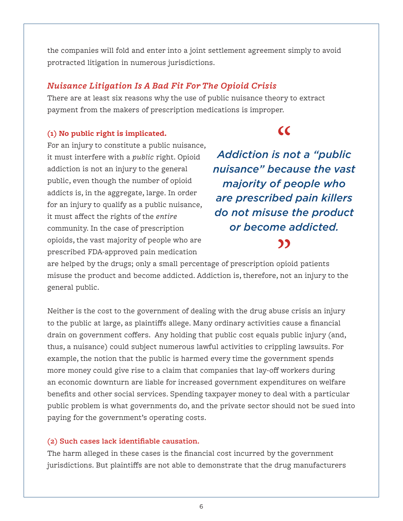the companies will fold and enter into a joint settlement agreement simply to avoid protracted litigation in numerous jurisdictions.

#### *Nuisance Litigation Is A Bad Fit For The Opioid Crisis*

There are at least six reasons why the use of public nuisance theory to extract payment from the makers of prescription medications is improper.

#### **(1) No public right is implicated.**

## $\overline{\mathcal{C}}$

For an injury to constitute a public nuisance, it must interfere with a *public* right. Opioid addiction is not an injury to the general public, even though the number of opioid addicts is, in the aggregate, large. In order for an injury to qualify as a public nuisance, it must affect the rights of the *entire* community. In the case of prescription opioids, the vast majority of people who are prescribed FDA-approved pain medication

*Addiction is not a "public nuisance" because the vast majority of people who are prescribed pain killers do not misuse the product or become addicted.*77

are helped by the drugs; only a small percentage of prescription opioid patients misuse the product and become addicted. Addiction is, therefore, not an injury to the general public.

Neither is the cost to the government of dealing with the drug abuse crisis an injury to the public at large, as plaintiffs allege. Many ordinary activities cause a financial drain on government coffers. Any holding that public cost equals public injury (and, thus, a nuisance) could subject numerous lawful activities to crippling lawsuits. For example, the notion that the public is harmed every time the government spends more money could give rise to a claim that companies that lay-off workers during an economic downturn are liable for increased government expenditures on welfare benefits and other social services. Spending taxpayer money to deal with a particular public problem is what governments do, and the private sector should not be sued into paying for the government's operating costs.

#### **(2) Such cases lack identifiable causation.**

The harm alleged in these cases is the financial cost incurred by the government jurisdictions. But plaintiffs are not able to demonstrate that the drug manufacturers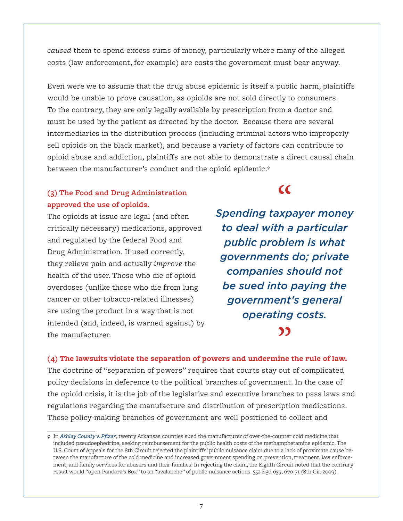*caused* them to spend excess sums of money, particularly where many of the alleged costs (law enforcement, for example) are costs the government must bear anyway.

Even were we to assume that the drug abuse epidemic is itself a public harm, plaintiffs would be unable to prove causation, as opioids are not sold directly to consumers. To the contrary, they are only legally available by prescription from a doctor and must be used by the patient as directed by the doctor. Because there are several intermediaries in the distribution process (including criminal actors who improperly sell opioids on the black market), and because a variety of factors can contribute to opioid abuse and addiction, plaintiffs are not able to demonstrate a direct causal chain between the manufacturer's conduct and the opioid epidemic.9

#### **(3) The Food and Drug Administration approved the use of opioids.**

The opioids at issue are legal (and often critically necessary) medications, approved and regulated by the federal Food and Drug Administration. If used correctly, they relieve pain and actually *improve* the health of the user. Those who die of opioid overdoses (unlike those who die from lung cancer or other tobacco-related illnesses) are using the product in a way that is not intended (and, indeed, is warned against) by the manufacturer.

*Spending taxpayer money to deal with a particular public problem is what governments do; private companies should not be sued into paying the government's general operating costs.*"

 $\epsilon$ 

**(4) The lawsuits violate the separation of powers and undermine the rule of law.** The doctrine of "separation of powers" requires that courts stay out of complicated policy decisions in deference to the political branches of government. In the case of the opioid crisis, it is the job of the legislative and executive branches to pass laws and regulations regarding the manufacture and distribution of prescription medications. These policy-making branches of government are well positioned to collect and

<sup>9</sup> In *[Ashley County v. Pfizer](https://www.leagle.com/decision/09010613)*, twenty Arkansas counties sued the manufacturer of over-the-counter cold medicine that included pseudoephedrine, seeking reimbursement for the public health costs of the methamphetamine epidemic. The U.S. Court of Appeals for the 8th Circuit rejected the plaintiffs' public nuisance claim due to a lack of proximate cause between the manufacture of the cold medicine and increased government spending on prevention, treatment, law enforcement, and family services for abusers and their families. In rejecting the claim, the Eighth Circuit noted that the contrary result would "open Pandora's Box" to an "avalanche" of public nuisance actions. 552 F.3d 659, 670-71 (8th Cir. 2009).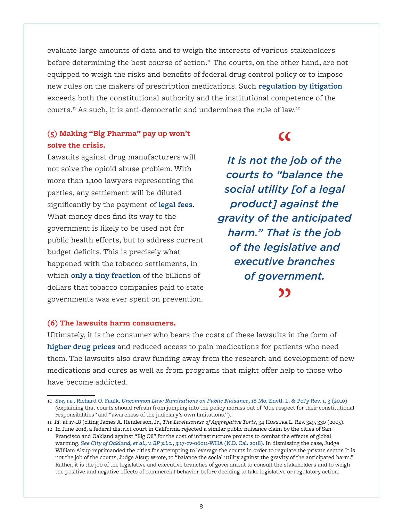evaluate large amounts of data and to weigh the interests of various stakeholders before determining the best course of action.<sup>10</sup> The courts, on the other hand, are not equipped to weigh the risks and benefits of federal drug control policy or to impose new rules on the makers of prescription medications. Such **[regulation by litigation](https://fedsoc.org/commentary/blog-posts/public-health-epidemics-warning-this-litigation-cure-could-kill-an-economy)** exceeds both the constitutional authority and the institutional competence of the courts.11 As such, it is anti-democratic and undermines the rule of law.12

#### **(5) Making "Big Pharma" pay up won't solve the crisis.**

Lawsuits against drug manufacturers will not solve the opioid abuse problem. With more than 1,100 lawyers representing the parties, any settlement will be diluted significantly by the payment of **[legal fees](https://www.politico.com/story/2018/05/24/opioids-epidemic-tobacco-607119)**. What money does find its way to the government is likely to be used not for public health efforts, but to address current budget deficits. This is precisely what happened with the tobacco settlements, in which **[only a tiny fraction](https://www.nytimes.com/2014/10/07/opinion/how-the-big-tobacco-deal-went-bad.html)** of the billions of dollars that tobacco companies paid to state governments was ever spent on prevention.

# $\overline{\mathcal{C}}$

*It is not the job of the courts to "balance the social utility [of a legal product] against the gravity of the anticipated harm." That is the job of the legislative and executive branches of government.*"

#### **(6) The lawsuits harm consumers.**

Ultimately, it is the consumer who bears the costs of these lawsuits in the form of **[higher drug prices](http://iwf.org/blog/2806620/A-Podcast-on-the-Complexities-of-the-Opioid-Crisis)** and reduced access to pain medications for patients who need them. The lawsuits also draw funding away from the research and development of new medications and cures as well as from programs that might offer help to those who have become addicted.

<sup>10</sup> *See, i.e.,* Richard O. Faulk, *[Uncommon Law: Ruminations on Public Nuisance](http://scholarship.law.missouri.edu/jesl/vol18/iss1/3)*, 18 Mo. Envtl. L. & Pol'y Rev. 1, 3 (2010) (explaining that courts should refrain from jumping into the policy morass out of "due respect for their constitutional responsibilities" and "awareness of the judiciary's own limitations.").

<sup>11</sup> *Id.* at 17-18 (citing James A. Henderson, Jr., *The Lawlessness of Aggregative Torts*, 34 Hofstra L. Rev. 329, 330 (2005).

<sup>12</sup> In June 2018, a federal district court in California rejected a similar public nuisance claim by the cities of San Francisco and Oakland against "Big Oil" for the cost of infrastructure projects to combat the effects of global warming. *[See City of Oakland, et al., v. BP p.l.c.](https://www.nytimes.com/interactive/2018/06/26/climate/document-Judge-Dismisses-Climate-Suit-Against-Oil-Companies.html)*, 3:17-cv-06011-WHA (N.D. Cal. 2018). In dismissing the case, Judge William Alsup reprimanded the cities for attempting to leverage the courts in order to regulate the private sector. It is not the job of the courts, Judge Alsup wrote, to "balance the social utility against the gravity of the anticipated harm." Rather, it is the job of the legislative and executive branches of government to consult the stakeholders and to weigh the positive and negative effects of commercial behavior before deciding to take legislative or regulatory action.